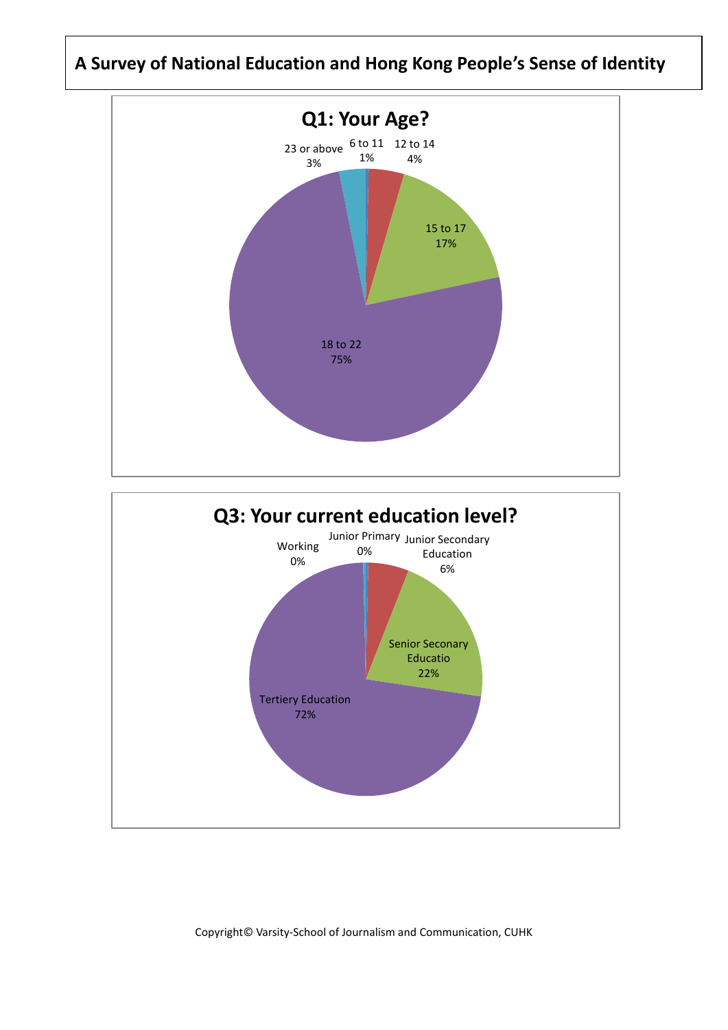## **A Survey of National Education and Hong Kong People's Sense of Identity**

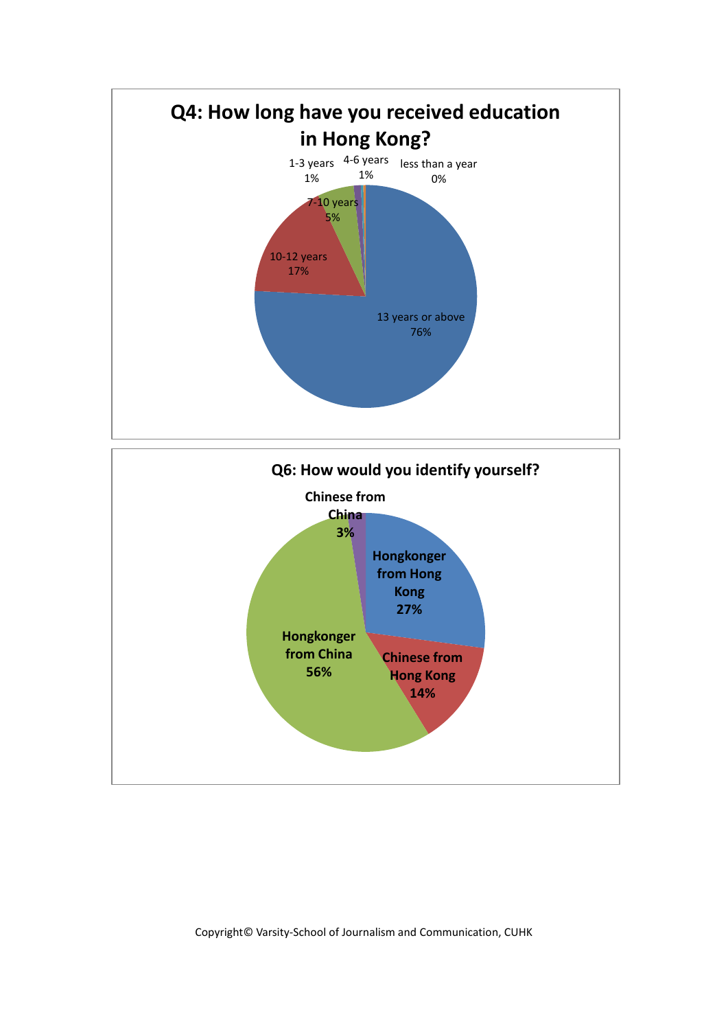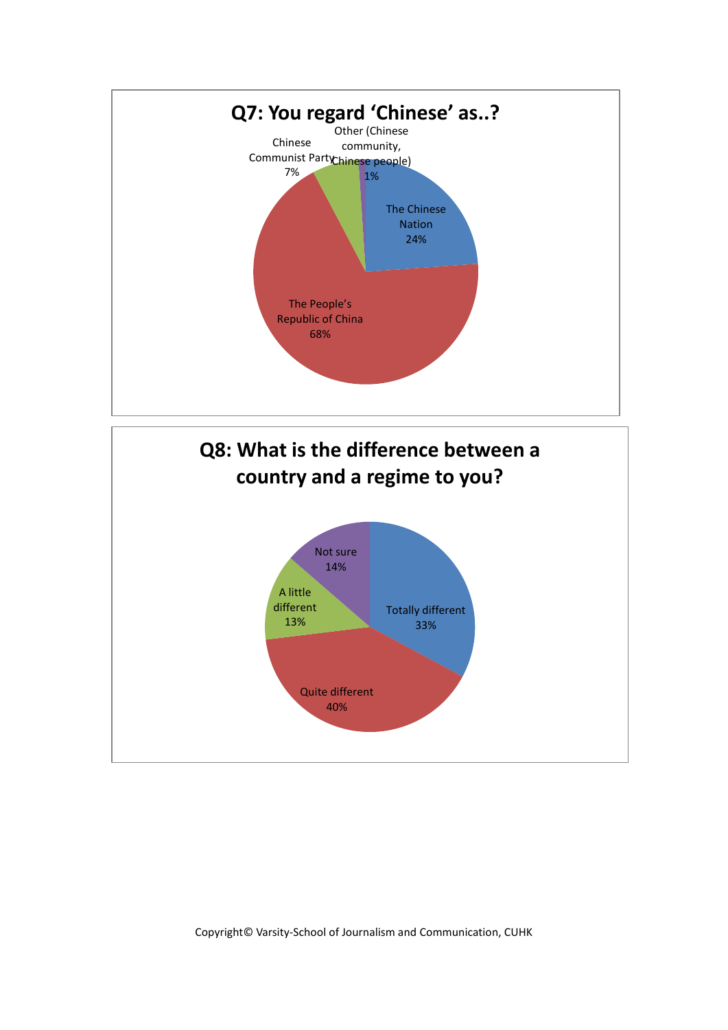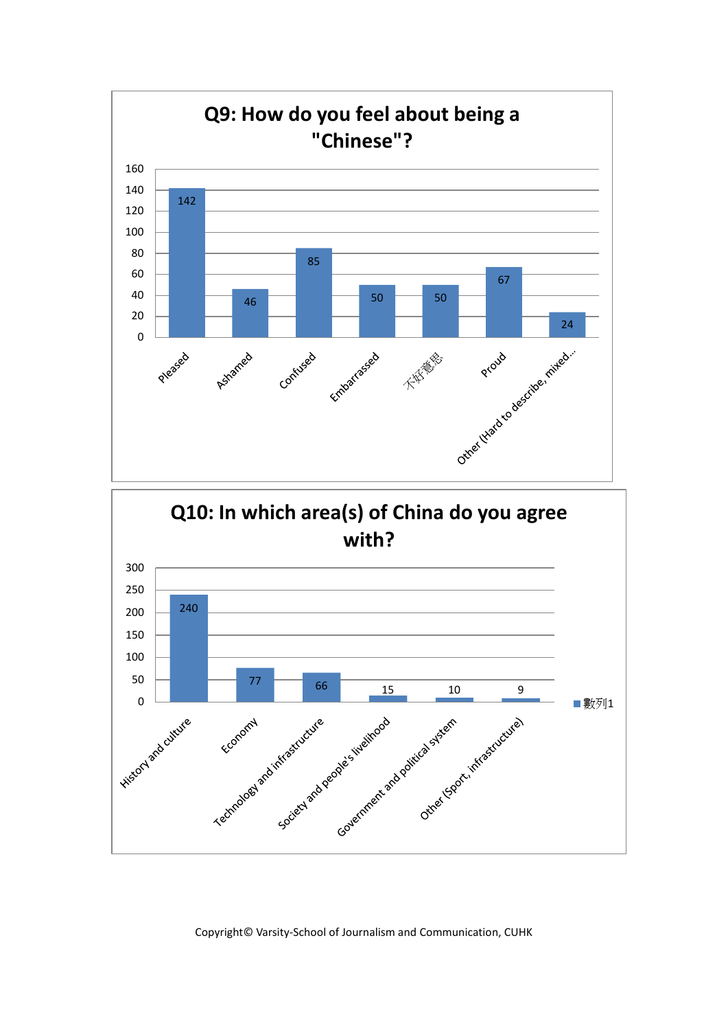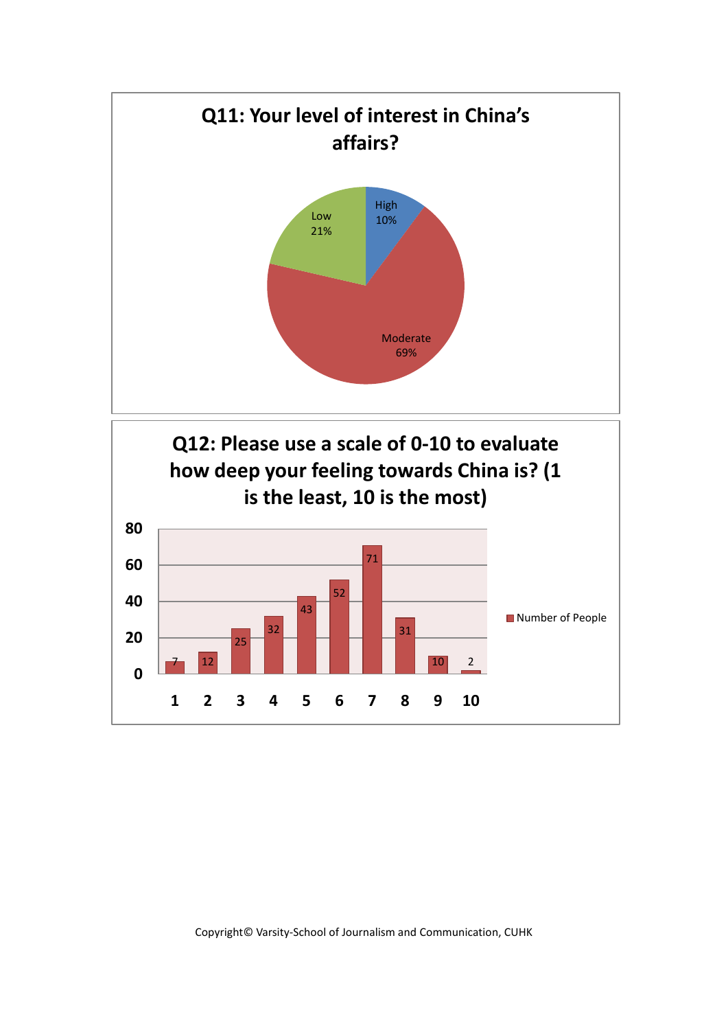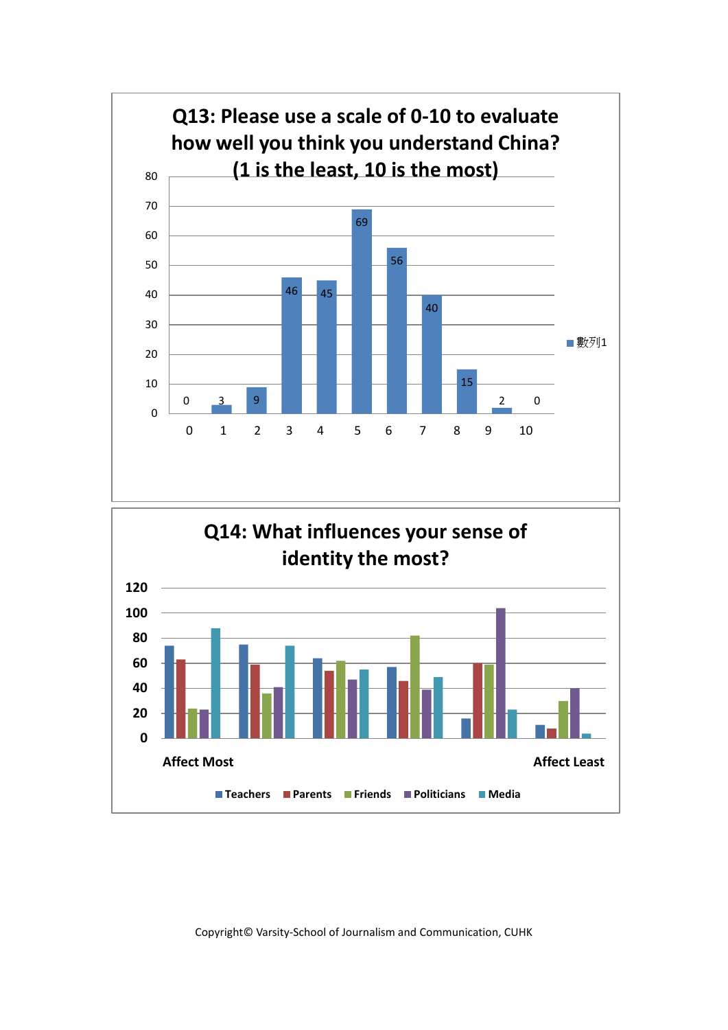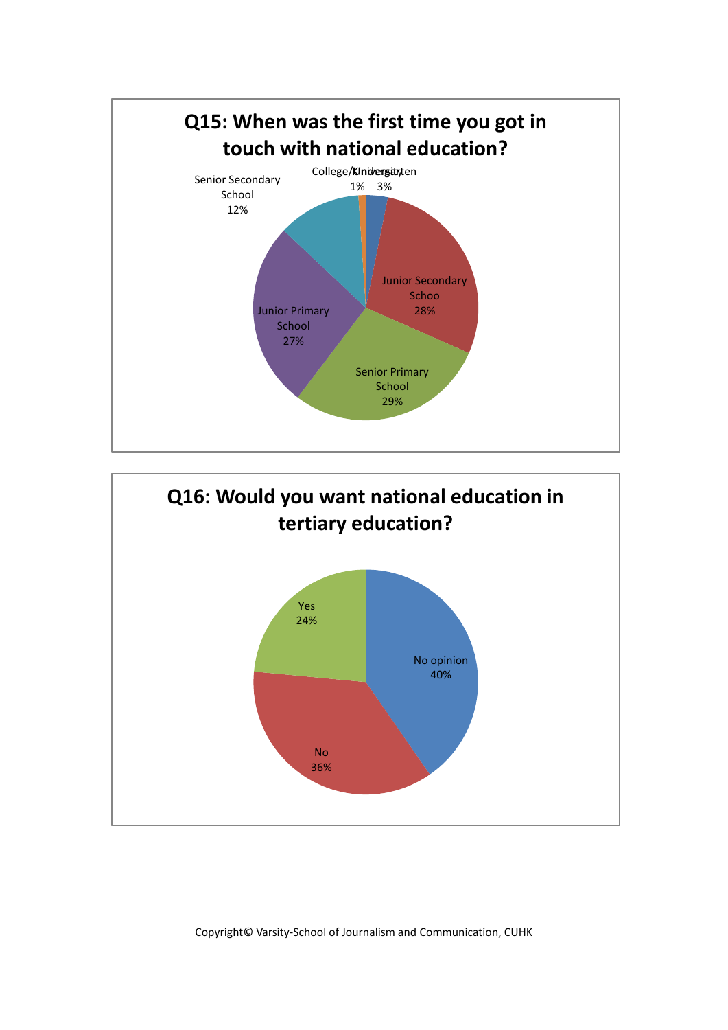

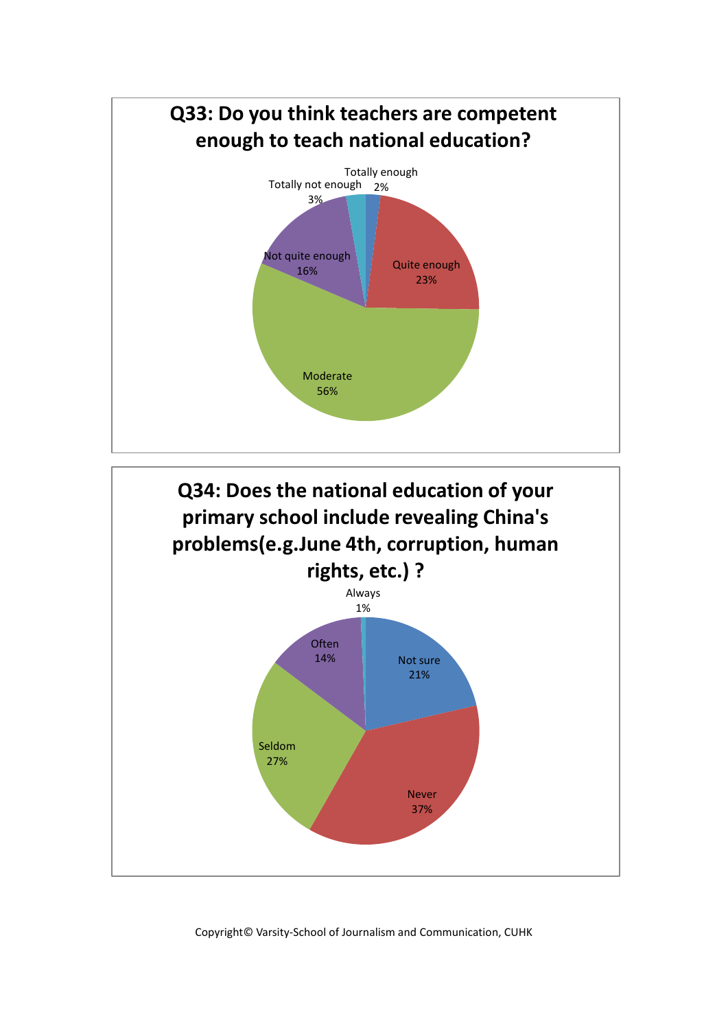

**Q34: Does the national education of your primary school include revealing China's problems(e.g.June 4th, corruption, human rights, etc.) ?**

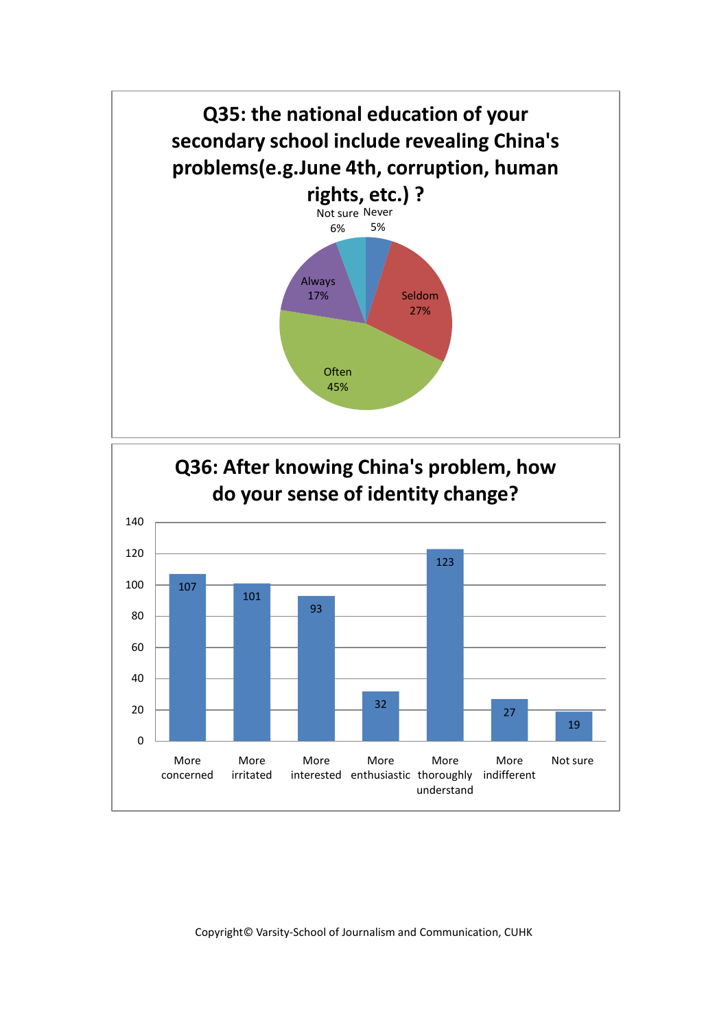